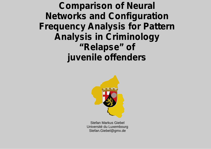**Comparison of Neural Networks and Configuration Frequency Analysis for Pattern Analysis in Criminology "Relapse" of juvenile offenders**



Stefan Markus Giebel Université du Luxembourg Stefan.Giebel@gmx.de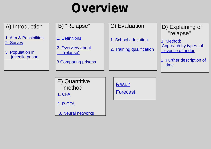1. Aim & Possibilties 2. Survey

3. Population in juvenile prison

1. Definitions

2. Overview about "relapse"

3.Comparing prisons

1. School education

2. Training qualification

A) Introduction  $\begin{vmatrix} \end{vmatrix}$  B) "Relapse"  $\begin{vmatrix} \end{vmatrix}$  C) Evaluation  $\begin{vmatrix} \end{vmatrix}$  D) Explaining of "relapse"

> 1. Method: Approach by types of juvenile offender

2. Further description of time

E) Quantitive method Result 1. CFA

2. P-CFA

3. Neural networks

Forecast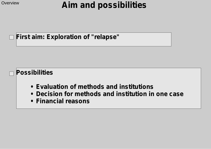# **Aim and possibilities**

### **First aim: Exploration of "relapse"**

### **Possibilities**

- **Evaluation of methods and institutions**
- **Decision for methods and institution in one case**
- **Financial reasons**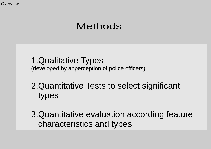## Methods

1.Qualitative Types (developed by apperception of police officers)

2.Quantitative Tests to select significant types

3.Quantitative evaluation according feature characteristics and types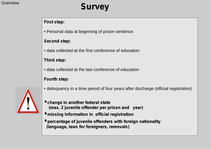# **Survey Survey**

#### **First step:**

• Personal data at beginning of prison sentence

#### **Second step:**

• data collected at the first conference of education

#### **Third step:**

• data collected at the last conference of education

#### **Fourth step:**

- delinquency in a time period of four years after discharge (official registration)
- **• change in another federal state (max. 2 juvenile offender per prison and year)**
- **• missing information in official registration**
- **• percentage of juvenile offenders with foreign nationality (language, laws for foreigners, removals)**

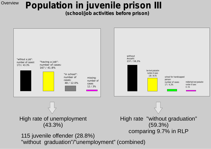# **Population in juvenile prison III**

**(school/job activities before prison)**

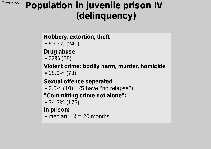# **Population in juvenile prison IV (delinquency)**

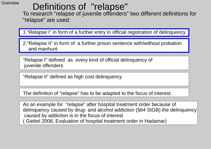# Definitions of "relapse"

To research "relapse of juvenile offenders" two different definitions for "relapse" are used:

1."Relapse I" in form of a further entry in official registration of delinquency

2."Relapse II" in form of a further prison sentence with/without probation and manhunt

"Relapse I" defined as every kind of official delinquency of juvenile offenders

"Relapse II" defined as high cost delinquency

The definition of "relapse" has to be adapted to the focus of interest.

As an example for "relapse" after hospital treatment order because of delinquency caused by drug- and alcohol addiction (§64 StGB) the delinquency caused by addiction is in the focus of interest ( Giebel 2008, Evaluation of hospital treatment order in Hadamar)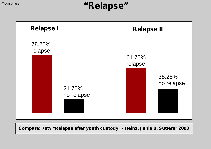# **Overview "Relapse"**



**Compare: 78% "Relapse after youth custody" - Heinz, Jehle u. Sutterer 2003**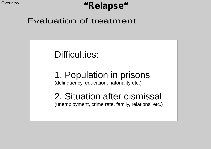# **"Relapse"**

### Evaluation of treatment

# Difficulties:

### 1. Population in prisons (delinquency, education, natonality etc.)

# 2. Situation after dismissal

(unemployment, crime rate, family, relations, etc.)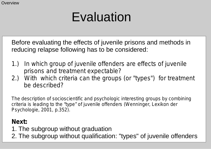# Evaluation

Before evaluating the effects of juvenile prisons and methods in reducing relapse following has to be considered:

- *1.) In which group of juvenile offenders are effects of juvenile prisons and treatment expectable?*
- *2.) With which criteria can the groups (or "types") for treatment be described?*

*The description of socioscientific and psychologic interesting groups by combining criteria is leading to the "type" of juvenile offenders (Wenninger, Lexikon der Psychologie, 2001, p.352).* 

### **Next:**

- 1. The subgroup without graduation
- 2. The subgroup without qualification: "types" of juvenile offenders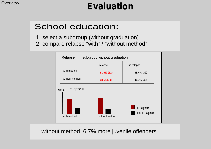# **Evaluation**

## School education:

1. select a subgroup (without graduation) 2. compare relapse "with" / "without method"



without method 6.7% more juvenile offenders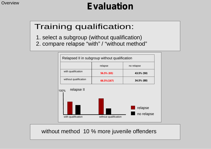## Training qualification:

1. select a subgroup (without qualification) 2. compare relapse "with" / "without method"



without method 10 % more juvenile offenders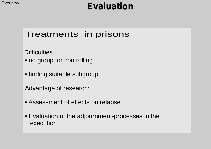## Treatments in prisons

**Difficulties** 

- no group for controlling
- finding suitable subgroup

Advantage of research:

- Assessment of effects on relapse
- Evaluation of the adjournment-processes in the execution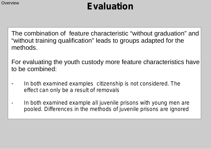The combination of feature characteristic "without graduation" and "without training qualification" leads to groups adapted for the methods.

For evaluating the youth custody more feature characteristics have to be combined:

- *In both examined examples citizenship is not considered. The effect can only be a result of removals*
- *- In both examined example all juvenile prisons with young men are pooled. Differences in the methods of juvenile prisons are ignored*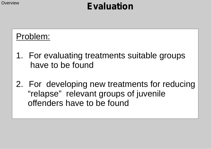# Problem:

- 1. For evaluating treatments suitable groups have to be found
- 2. For developing new treatments for reducing "relapse" relevant groups of juvenile offenders have to be found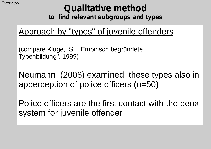# **Qualitative method**

**to find relevant subgroups and types**

# Approach by "types" of juvenile offenders

(compare Kluge, S., "Empirisch begründete Typenbildung", 1999)

Neumann (2008) examined these types also in apperception of police officers (n=50)

Police officers are the first contact with the penal system for juvenile offender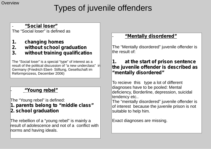# Types of juvenile offenders

#### - **"Social loser"**

The "Social loser" is defined as

- **1. changing homes**
- **2. without school graduation**
- **3. without training qualification**

The "Social loser" is a special "type" of interest as a result of the political discussion of "a new underclass" in Germany (Friedrich Ebert- Stiftung, Gesellschaft im Reformprozess, December 2006)

#### - **ebel" "Young r**

The "Young rebel" is defined:

**1. parents belong to "middle class" 2. school graduation**

The rebellion of a "young rebel" is mainly a result of adolescence and not of a conflict with norms and having ideals.

#### - **"Mentally disordered"**

The "Mentally disordered" juvenile offender is the result of:

#### **1. at the start of prison sentence the juvenile offender is described as "mentally disordered"**

To recieve this type a lot of different diagnoses have to be pooled: Mental deficiency, Borderline, depression, suicidal tendency etc..

The "mentally disordered" juvenile offender is of interest because the juvenile prison is not suitable to help him.

Exact diagnoses are missing.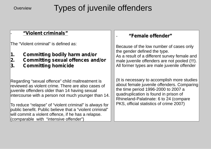## Types of juvenile offenders

#### - **"Violent criminals"**

The "Violent criminal" is defined as:

- **1. Committing bodily harm and/or**
- **2. Committing sexual offences and/or**
- **3. Committing homicide**

Regarding "sexual offence" child maltreatment is reviewed as violent crime. There are also cases of juvenile offenders older than 14 having sexual intercourse with a person not much younger than 14.

To reduce "relapse" of "violent criminal" is always for public benefit. Public believe that a "violent criminal" will commit a violent offence, if he has a relapse. (comparable with "intensive offender")

#### - **"Female offender"**

Because of the low number of cases only the gender defined the type. As a result of a different survey female and male juvenile offenders are not pooled (!!!). All former types are male juvenile offender

(It is necessary to accomplish more studies about female juvenile offenders. Comparing the time period 1996-2000 to 2007 a quadruplication is found in prison of Rhineland-Palatinate: 6 to 24 (compare PKS, official statistics of crime 2007)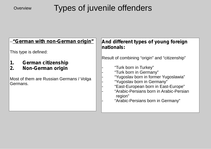# Overview **Types of juvenile offenders**

| --"German with non-German origin"<br>This type is defined: | And different types of young foreign<br>nationals:                 |
|------------------------------------------------------------|--------------------------------------------------------------------|
|                                                            |                                                                    |
|                                                            | Result of combining "origin" and "citizenship"                     |
| German citizenship<br>$\mathbf 1$ .                        |                                                                    |
| <b>Non-German origin</b><br>2.                             | "Turk born in Turkey"<br>"Turk born in Germany"                    |
| Most of them are Russian Germans / Volga<br>Germans.       | "Yugoslav born in former Yugoslawia"<br>"Yugoslav born in Germany" |
|                                                            | "East-European born in East-Europe"                                |
|                                                            | "Arabic-Persians born in Arabic-Persian<br>region"                 |
|                                                            | "Arabic-Persians born in Germany"                                  |
|                                                            |                                                                    |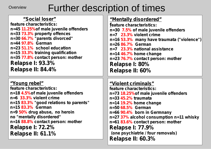# Overview **Further description of times**

**"Social loser" feature characteristics: n=45 of male juvenile offenders 11.25% n=33 property offences 73.3% n=30 "parents divorced" 66.7% n=44 German 97.8% n=23 school education 51.1% n=15 training qualification 33.3% n=35 contact person: mother 77.8% Relapse I: 93.3% Relapse II: 84.4% "Young rebel" feature characteristics: n=18 of male juvenile offenders 4.5% n=6 violent crime 33.3% n=15 "good relations to parents" 83.3% n=15 German 83.3% n=9 drug abuse, no heroin 50% no "mentally disordered"**

**n=16 contact person: mother 88.8%**

**Relapse I: 72.2% Relapse II: 61.1%**

#### **"Mentally disordered"**

**feature characteristics:** n=30 7.5% of male juvenile offenders **n=7 violent crime 23.3% n=16 many have traumata ("violence") 53.3% n=26 German 86.7% n=7 national assistance 23.3% n=14 home change 46.7% n=23 contact person: mother 76.7% Relapse I: 80% Relapse II: 60%**

**"Violent criminals" feature characteristics: n=73 of male juvenile offenders 18.25% n=33 traumata 45.2% n=14 home change 19.2% n=50 German 68.5% n=66 born in Germnany 90.4% n=27 alcohol consumption n=11 whisky 37% n=61 contact person: mother 83.6% Relapse I: 77.9% (one psychiatrie / four removals) Relapse II: 60.3%**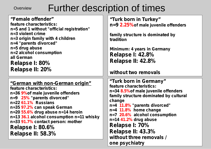# Overview Further description of times

| "Female offender"                                                              | "Turk born in Turkey"                            |
|--------------------------------------------------------------------------------|--------------------------------------------------|
| feature characteristics:                                                       | n=9 2.25% of male juvenile offenders             |
| n=5 and 1 without "official registration"                                      |                                                  |
| n=3 violent crime                                                              | family structure is dominated by                 |
| n=3 origin family with 4 children<br>n=4 "parents divorced"                    | tradition                                        |
| n=5 drug abuse                                                                 |                                                  |
| n=2 alcohol consumption                                                        | Minimum: 4 years in Germany                      |
| all German                                                                     | <b>Relapse I: 42.8%</b>                          |
| Relapse I: 80%                                                                 | Relapse II: 42.8%                                |
| Relapse II: 20%                                                                |                                                  |
|                                                                                | without two removals                             |
|                                                                                |                                                  |
|                                                                                |                                                  |
| "German with non-German origin"                                                | "Turk born in Germany"                           |
| feature characteristics:                                                       | feature characteristics:                         |
| n=36 9% of male juvenile offenders                                             | n=34 8.5% of male juvenile offenders             |
| n=9 25% "parents divorced"                                                     | family structure dominated by cultural<br>change |
| $n=2261.1\%$ Russians                                                          | n=4 11.8% "parents divorced"                     |
| n=35 97.2% can speak German                                                    | $n=4$ 11.8% home change                          |
| n=20 55.6% drug abuse n=14 heroin                                              | n=7 20.6% alcohol consumption                    |
| n=13 36.1 alcohol consumption n=11 whisky<br>n=33 91.7% contact person: mother | $n=14$ 41.2% drug abuse                          |
|                                                                                | Relapse I: 70%                                   |
| <b>Relapse I: 80.6%</b>                                                        | Relapse II: 43.3%                                |
| Relapse II: 58.3%                                                              | without three removals /                         |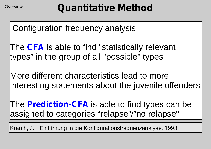Configuration frequency analysis

The **CFA** is able to find "statistically relevant types" in the group of all "possible" types

More different characteristics lead to more interesting statements about the juvenile offenders

The **Prediction-CFA** is able to find types can be assigned to categories "relapse"/"no relapse"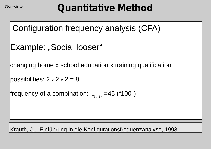```
 Configuration frequency analysis (CFA)
```

```
Example: "Social looser"
```
changing home x school education x training qualification

```
possibilities: 2 \times 2 \times 2 = 8
```
frequency of a combination:  $\rm\,f_{j_1 j_2 j_3}$  =45 ("100")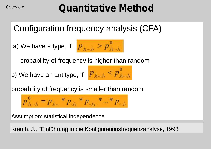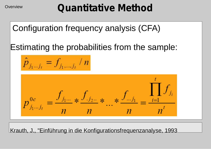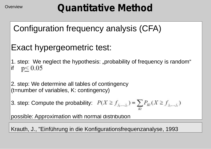# **Quantitative Method**

# Configuration frequency analysis (CFA)

# Exact hypergeometric test:

1. step: We neglect the hypothesis: "probability of frequency is random" if  $p < 0.05$ 

2. step: We determine all tables of contingency (t=number of variables, K: contingency)

3. step: Compute the probability:  $P(X \ge f_{j_1,\dots,j_t}) = \sum_{k} P_{k} (X \ge f_{j_1,\dots,j_t})$ 

possible: Approximation with normal distribution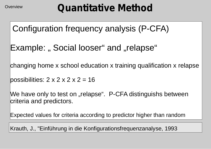Configuration frequency analysis (P-CFA)

Example: " Social looser" and "relapse"

changing home x school education x training qualification x relapse

possibilities:  $2 \times 2 \times 2 \times 2 = 16$ 

We have only to test on "relapse". P-CFA distinguishs between criteria and predictors.

Expected values for criteria according to predictor higher than random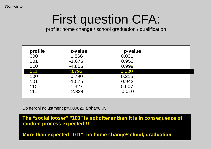# First question CFA:

profile: home change / school graduation / qualification

| profile | z-value  | p-value |  |
|---------|----------|---------|--|
| 000     | 1.866    | 0.031   |  |
| 001     | $-1.675$ | 0.953   |  |
| 010     | $-4.856$ | 0.999   |  |
| 011     | 3.793    | 0.000   |  |
| 100     | 0.790    | 0.215   |  |
| 101     | $-1.575$ | 0.942   |  |
| 110     | $-1.327$ | 0.907   |  |
| 111     | 2.324    | 0.010   |  |

Bonferoni adjustment p=0.00625 alpha=0.05

**The "social looser" "100" is not oftener than it is in consequence of random process expected!!!**

**More than expected "011": no home change/school/ graduation**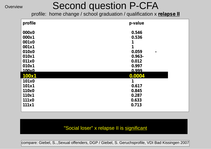# Second question P-CFA

profile: home change / school graduation / qualification x **relapse II**

| profile | p-value    |
|---------|------------|
| 000x0   | 0.546      |
| 000x1   | 0.536      |
| 001x0   |            |
| 001x1   | 1          |
| 010x0   | 0.059<br>- |
| 010x1   | $0.963 -$  |
| 011x0   | 0.012      |
| 010x1   | 0.997      |
| 100x0   | 0.999      |
| 100x1   | 0.0004     |
| 101x0   |            |
| 101x1   | 0.617      |
| 110x0   | 0.845      |
| 110x1   | 0.287      |
| 111x0   | 0.633      |
| 111x1   | 0.713      |

#### o<sup>nli</sup> veralonaatilist "Social loser" x relapse II is <u>significant</u>

compare: Giebel, S..,Sexual offenders, DGP / Giebel, S. Geruchsprofile, VDI Bad Kissingen 2007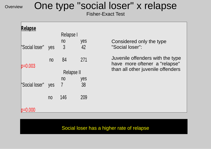# One type "social loser" x relapse

Fisher-Exact Test

| Relapse        |                | Relapse I  |           |                                                                   |
|----------------|----------------|------------|-----------|-------------------------------------------------------------------|
| "Social loser" | yes            | no<br>3    | yes<br>42 | Considered only the type<br>"Social loser":                       |
| $p=0.003$      | no             | 84         | 271       | Juvenile offenders with the type<br>have more oftener a "relapse" |
|                |                | Relapse II |           | than all other juvenile offenders                                 |
|                |                | no         | yes       |                                                                   |
| "Social loser" | yes            | 7          | 38        |                                                                   |
|                | n <sub>0</sub> | 146        | 209       |                                                                   |
|                |                |            |           |                                                                   |

#### only explored the contractor of the contractor of the contractor of the contractor of the contractor of the co<br>In the contractor of the contractor of the contractor of the contractor of the contractor of the contractor of Social loser has a higher rate of relapse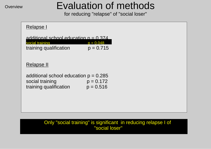# Evaluation of methods

for reducing "relapse" of "social loser"

| Relapse I                                                                            |                            |  |
|--------------------------------------------------------------------------------------|----------------------------|--|
| additional school education $p = 0.374$<br>social training<br>training qualification | $p = 0.048$<br>$p = 0.715$ |  |
| Relapse II                                                                           |                            |  |
| additional school education $p = 0.285$<br>social training<br>training qualification | $p = 0.172$<br>$p = 0.516$ |  |

Only "social training" is significant in reducing relapse I of "social loser"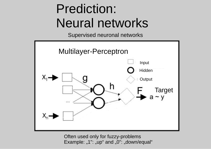# Prediction: Neural networks

Supervised neuronal networks



Often used only for fuzzy-problems Example: "1": "up" and "0": "down/equal"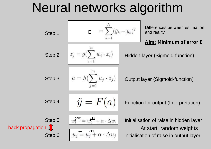# Neural networks algorithm

| Step 1. | E                                                                     | $=\sum_{k=1}^{N}(\tilde{y}_k - y_k)^2$  | Differences between estimation and reality |
|---------|-----------------------------------------------------------------------|-----------------------------------------|--------------------------------------------|
| Step 2. | \n $z_j = g(\sum_{i=1}^{n} w_i \cdot x_i)$ \n                         | Hidden layer (Sigmoid-function)         |                                            |
| Step 3. | \n $a = h(\sum_{j=1}^{m} u_j \cdot z_j)$ \n                           | Output layer (Sigmoid-function)         |                                            |
| Step 4. | \n $\widetilde{y} = F(a)$ \n                                          | Function for output (Interpretation)    |                                            |
| Step 5. | \n $w_i^{\text{new}} = w_i^{\text{old}} + \alpha \cdot \Delta w_i$ \n | Initialization of raise in hidden layer |                                            |
| Step 6. | \n $u_j^{\text{new}} = u_j^{\text{old}} + \alpha \cdot \Delta u_j$ \n | Initialization of raise in output layer |                                            |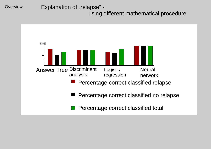Explanation of "relapse" using different mathematical procedure

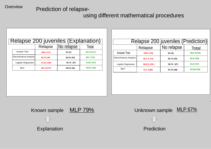### Prediction of relapse-

#### using different mathematical procedures

| Relapse 200 juveniles (Explanation) |              |            |             |  |
|-------------------------------------|--------------|------------|-------------|--|
|                                     | Relapse      | No relapse | Total       |  |
| Answer Tree                         | 100% (131)   | $0\%$ (0)  | 65,5 %(131) |  |
| Discriminance Analysis              | 68,7% (90)   | 62,3% (43) | 66,5 (133)  |  |
| Logistic Regression                 | 91.6% (120)  | 39.1% (27) | 73,5% (147) |  |
| <b>MLP</b>                          | 86,2 % (113) | 65,2% (45) | 79,0% (158) |  |

| Relapse 200 juveniles (Prediction) |             |            |             |  |  |
|------------------------------------|-------------|------------|-------------|--|--|
|                                    | Relapse     | No relapse | Total       |  |  |
| Answer Tree                        | 100% (116)  | $0\%$ (0)  | 58,0 %(116) |  |  |
| Discriminance Analysis             | 62,1 % (72) | 63,1% (53) | 62,5 (125)  |  |  |
| <b>Logistic Regression</b>         | 86,2% (100) | 39,1% (27) | 63,5 (127)  |  |  |
| <b>MLP</b>                         | 74,1 %(86)  | 57,1% (48) | 67,0%(134)  |  |  |



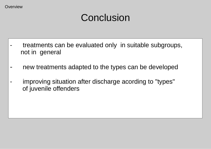# **Conclusion**

- treatments can be evaluated only in suitable subgroups, not in general
- new treatments adapted to the types can be developed
- improving situation after discharge acording to "types" of juvenile offenders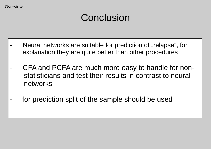# **Conclusion**

- Neural networks are suitable for prediction of "relapse", for explanation they are quite better than other procedures
- CFA and PCFA are much more easy to handle for non statisticians and test their results in contrast to neural networks
- for prediction split of the sample should be used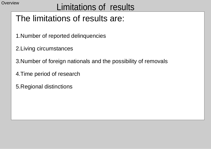# Overview **Limitations of results**

# The limitations of results are:

- 1.Number of reported delinquencies
- 2.Living circumstances
- 3.Number of foreign nationals and the possibility of removals
- 4.Time period of research
- 5.Regional distinctions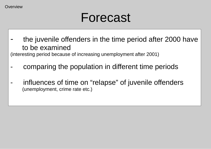# Forecast

the juvenile offenders in the time period after 2000 have to be examined

(interesting period because of increasing unemployment after 2001)

- comparing the population in different time periods
- influences of time on "relapse" of juvenile offenders (unemployment, crime rate etc.)